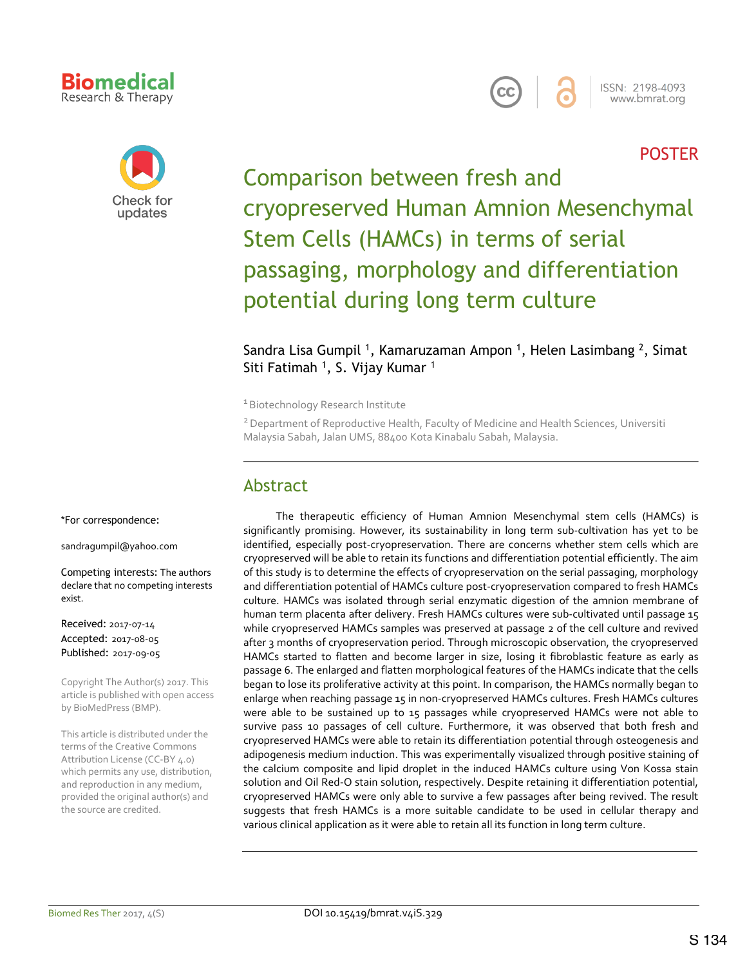### **Biomedical** Research & Therapy



ISSN: 2198-4093 www.bmrat.org

## POSTER



Comparison between fresh and cryopreserved Human Amnion Mesenchymal Stem Cells (HAMCs) in terms of serial passaging, morphology and differentiation potential during long term culture

#### Sandra Lisa Gumpil<sup>1</sup>, Kamaruzaman Ampon<sup>1</sup>, Helen Lasimbang<sup>2</sup>, Simat Siti Fatimah <sup>1</sup>, S. Vijay Kumar <sup>1</sup>

<sup>1</sup> Biotechnology Research Institute

<sup>2</sup> Department of Reproductive Health, Faculty of Medicine and Health Sciences, Universiti Malaysia Sabah, Jalan UMS, 88400 Kota Kinabalu Sabah, Malaysia.

## Abstract

\*For correspondence:

sandragumpil@yahoo.com

Competing interests: The authors declare that no competing interests exist.

Received: 2017-07-14 Accepted: 2017-08-05 Published: 2017-09-05

Copyright The Author(s) 2017. This article is published with open access by BioMedPress (BMP).

This article is distributed under the terms of the Creative Commons Attribution License (CC-BY 4.0) which permits any use, distribution, and reproduction in any medium, provided the original author(s) and the source are credited.

The therapeutic efficiency of Human Amnion Mesenchymal stem cells (HAMCs) is significantly promising. However, its sustainability in long term sub-cultivation has yet to be identified, especially post-cryopreservation. There are concerns whether stem cells which are cryopreserved will be able to retain its functions and differentiation potential efficiently. The aim of this study is to determine the effects of cryopreservation on the serial passaging, morphology and differentiation potential of HAMCs culture post-cryopreservation compared to fresh HAMCs culture. HAMCs was isolated through serial enzymatic digestion of the amnion membrane of human term placenta after delivery. Fresh HAMCs cultures were sub-cultivated until passage 15 while cryopreserved HAMCs samples was preserved at passage 2 of the cell culture and revived after 3 months of cryopreservation period. Through microscopic observation, the cryopreserved HAMCs started to flatten and become larger in size, losing it fibroblastic feature as early as passage 6. The enlarged and flatten morphological features of the HAMCs indicate that the cells began to lose its proliferative activity at this point. In comparison, the HAMCs normally began to enlarge when reaching passage 15 in non-cryopreserved HAMCs cultures. Fresh HAMCs cultures were able to be sustained up to 15 passages while cryopreserved HAMCs were not able to survive pass 10 passages of cell culture. Furthermore, it was observed that both fresh and cryopreserved HAMCs were able to retain its differentiation potential through osteogenesis and adipogenesis medium induction. This was experimentally visualized through positive staining of the calcium composite and lipid droplet in the induced HAMCs culture using Von Kossa stain solution and Oil Red-O stain solution, respectively. Despite retaining it differentiation potential, cryopreserved HAMCs were only able to survive a few passages after being revived. The result suggests that fresh HAMCs is a more suitable candidate to be used in cellular therapy and various clinical application as it were able to retain all its function in long term culture.